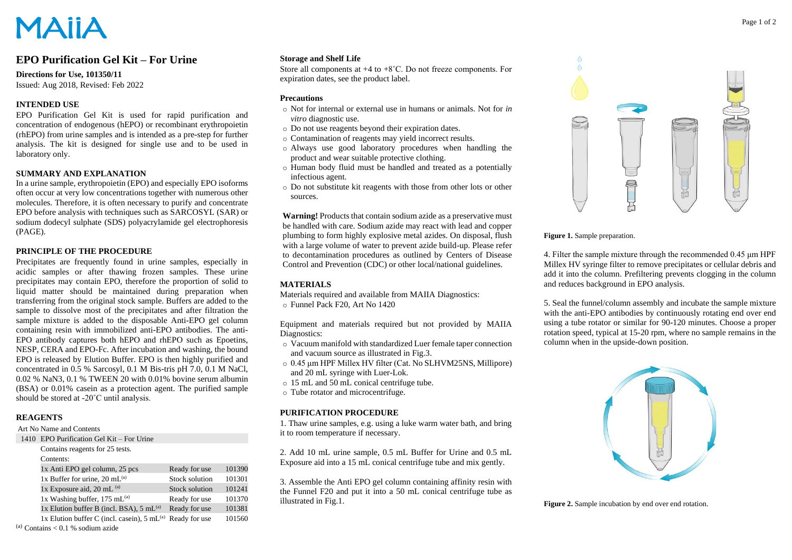# **MAIIA**

# **EPO Purification Gel Kit – For Urine**

# **Directions for Use, 101350/11**

Issued: Aug 2018, Revised: Feb 2022

# **INTENDED USE**

EPO Purification Gel Kit is used for rapid purification and concentration of endogenous (hEPO) or recombinant erythropoietin (rhEPO) from urine samples and is intended as a pre-step for further analysis. The kit is designed for single use and to be used in laboratory only.

# **SUMMARY AND EXPLANATION**

In a urine sample, erythropoietin (EPO) and especially EPO isoforms often occur at very low concentrations together with numerous other molecules. Therefore, it is often necessary to purify and concentrate EPO before analysis with techniques such as SARCOSYL (SAR) or sodium dodecyl sulphate (SDS) polyacrylamide gel electrophoresis (PAGE).

# **PRINCIPLE OF THE PROCEDURE**

Precipitates are frequently found in urine samples, especially in acidic samples or after thawing frozen samples. These urine precipitates may contain EPO, therefore the proportion of solid to liquid matter should be maintained during preparation when transferring from the original stock sample. Buffers are added to the sample to dissolve most of the precipitates and after filtration the sample mixture is added to the disposable Anti-EPO gel column containing resin with immobilized anti-EPO antibodies. The anti-EPO antibody captures both hEPO and rhEPO such as Epoetins, NESP, CERA and EPO-Fc. After incubation and washing, the bound EPO is released by Elution Buffer. EPO is then highly purified and concentrated in 0.5 % Sarcosyl, 0.1 M Bis-tris pH 7.0, 0.1 M NaCl, 0.02 % NaN3, 0.1 % TWEEN 20 with 0.01% bovine serum albumin (BSA) or 0.01% casein as a protection agent. The purified sample should be stored at -20˚C until analysis.

# **REAGENTS**

#### Art No Name and Contents

| 1410 EPO Purification Gel Kit – For Urine |  |
|-------------------------------------------|--|
|                                           |  |

| Contains reagents for 25 tests.                          |                |        |
|----------------------------------------------------------|----------------|--------|
| Contents:                                                |                |        |
| 1x Anti EPO gel column, 25 pcs                           | Ready for use  | 101390 |
| 1x Buffer for urine, 20 mL $^{(a)}$                      | Stock solution | 101301 |
| 1x Exposure aid, 20 mL $^{(a)}$                          | Stock solution | 101241 |
| 1x Washing buffer, $175$ mL <sup>(a)</sup>               | Ready for use  | 101370 |
| 1x Elution buffer B (incl. BSA), $5 \text{ mL}^{(a)}$    | Ready for use  | 101381 |
| 1x Elution buffer C (incl. casein), $5 \text{ mL}^{(a)}$ | Ready for use  | 101560 |
| $^{(a)}$ Contains < 0.1 % sodium azide                   |                |        |

#### **Storage and Shelf Life**

Store all components at +4 to +8˚C. Do not freeze components. For expiration dates, see the product label.

# **Precautions**

- o Not for internal or external use in humans or animals. Not for *in vitro* diagnostic use.
- o Do not use reagents beyond their expiration dates.
- o Contamination of reagents may yield incorrect results.
- o Always use good laboratory procedures when handling the product and wear suitable protective clothing.
- o Human body fluid must be handled and treated as a potentially infectious agent.
- o Do not substitute kit reagents with those from other lots or other sources.

**Warning!** Products that contain sodium azide as a preservative must be handled with care. Sodium azide may react with lead and copper plumbing to form highly explosive metal azides. On disposal, flush with a large volume of water to prevent azide build-up. Please refer to decontamination procedures as outlined by Centers of Disease Control and Prevention (CDC) or other local/national guidelines.

# **MATERIALS**

Materials required and available from MAIIA Diagnostics: o Funnel Pack F20, Art No 1420

Equipment and materials required but not provided by MAIIA Diagnostics:

- o Vacuum manifold with standardized Luer female taper connection and vacuum source as illustrated in Fig.3.
- o 0.45 μm HPF Millex HV filter (Cat. No SLHVM25NS, Millipore) and 20 mL syringe with Luer-Lok.
- o 15 mL and 50 mL conical centrifuge tube.
- o Tube rotator and microcentrifuge.

# **PURIFICATION PROCEDURE**

1. Thaw urine samples, e.g. using a luke warm water bath, and bring it to room temperature if necessary.

2. Add 10 mL urine sample, 0.5 mL Buffer for Urine and 0.5 mL Exposure aid into a 15 mL conical centrifuge tube and mix gently.

3. Assemble the Anti EPO gel column containing affinity resin with the Funnel F20 and put it into a 50 mL conical centrifuge tube as illustrated in Fig.1.



#### **Figure 1.** Sample preparation.

4. Filter the sample mixture through the recommended 0.45 μm HPF Millex HV syringe filter to remove precipitates or cellular debris and add it into the column. Prefiltering prevents clogging in the column and reduces background in EPO analysis.

5. Seal the funnel/column assembly and incubate the sample mixture with the anti-EPO antibodies by continuously rotating end over end using a tube rotator or similar for 90-120 minutes. Choose a proper rotation speed, typical at 15-20 rpm, where no sample remains in the column when in the upside-down position.



Figure 2. Sample incubation by end over end rotation.